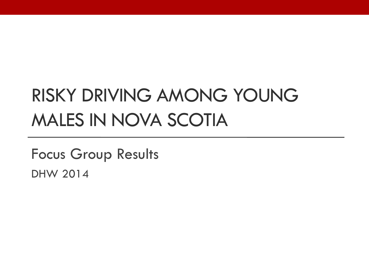# RISKY DRIVING AMONG YOUNG MALES IN NOVA SCOTIA

Focus Group Results DHW 2014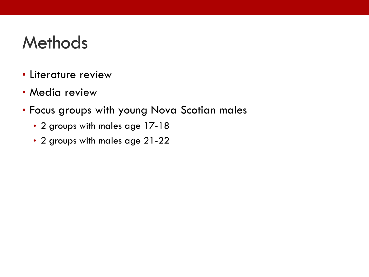#### **Methods**

- Literature review
- Media review
- Focus groups with young Nova Scotian males
	- 2 groups with males age 17-18
	- 2 groups with males age 21-22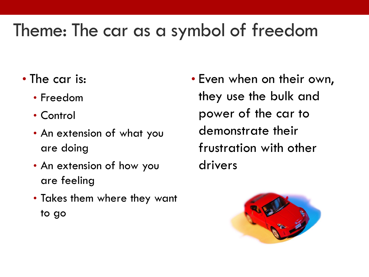### Theme: The car as a symbol of freedom

- The car is:
	- Freedom
	- Control
	- An extension of what you are doing
	- An extension of how you are feeling
	- Takes them where they want to go
- Even when on their own, they use the bulk and power of the car to demonstrate their frustration with other drivers

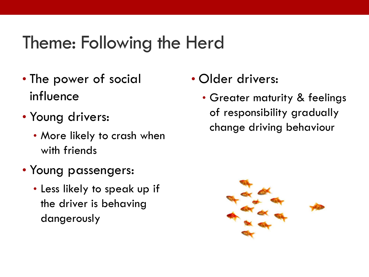#### Theme: Following the Herd

- The power of social influence
- Young drivers:
	- More likely to crash when with friends
- Young passengers:
	- Less likely to speak up if the driver is behaving dangerously
- Older drivers:
	- Greater maturity & feelings of responsibility gradually change driving behaviour

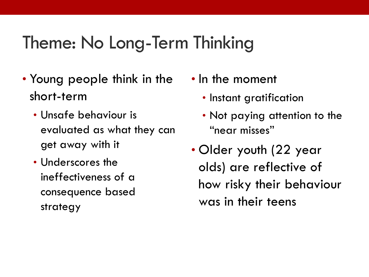#### Theme: No Long-Term Thinking

- Young people think in the short-term
	- Unsafe behaviour is evaluated as what they can get away with it
	- Underscores the ineffectiveness of a consequence based strategy
- In the moment
	- Instant gratification
	- Not paying attention to the "near misses"
- Older youth (22 year olds) are reflective of how risky their behaviour was in their teens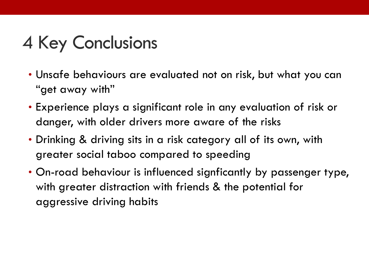## 4 Key Conclusions

- Unsafe behaviours are evaluated not on risk, but what you can "get away with"
- Experience plays a significant role in any evaluation of risk or danger, with older drivers more aware of the risks
- Drinking & driving sits in a risk category all of its own, with greater social taboo compared to speeding
- On-road behaviour is influenced signficantly by passenger type, with greater distraction with friends & the potential for aggressive driving habits